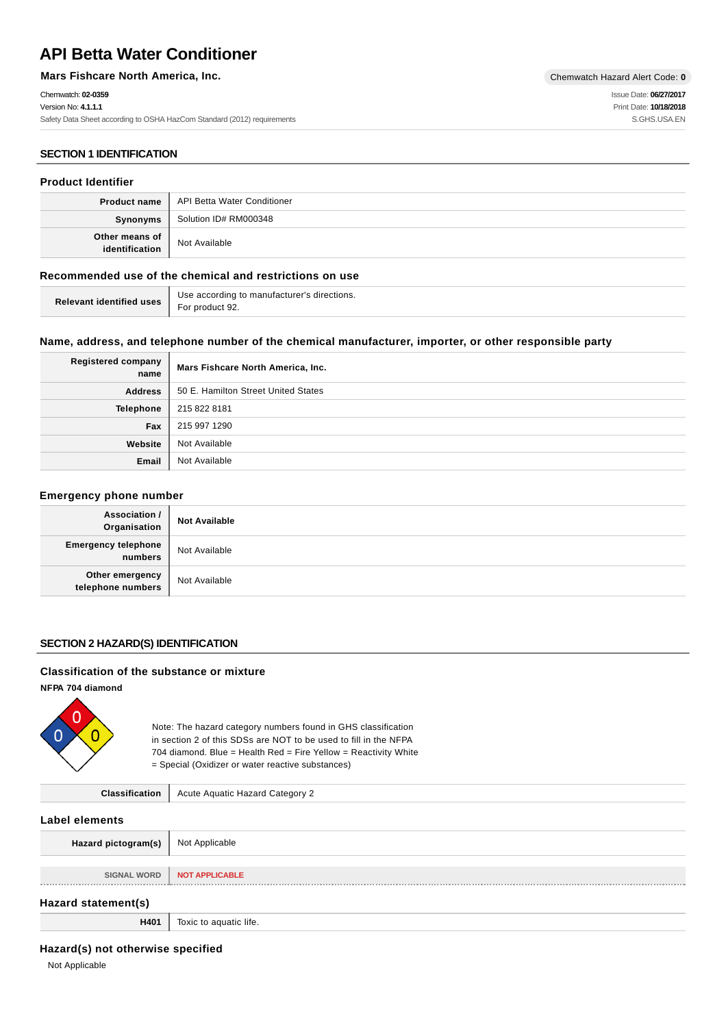# **API Betta Water Conditioner**

**Mars Fishcare North America, Inc.** Chemwatch Hazard Alert Code: 0

## Chemwatch: **02-0359**

Version No: **4.1.1.1** Safety Data Sheet according to OSHA HazCom Standard (2012) requirements

Issue Date: **06/27/2017** Print Date: **10/18/2018** S.GHS.USA.EN

## **SECTION 1 IDENTIFICATION**

## **Product Identifier**

|                                  | <b>Product name   API Betta Water Conditioner</b> |
|----------------------------------|---------------------------------------------------|
| Synonyms                         | Solution ID# RM000348                             |
| Other means of<br>identification | Not Available                                     |

## **Recommended use of the chemical and restrictions on use**

| <b>Relevant identified uses</b> $\left  \begin{array}{c} \cos \theta & \cos \theta \\ \text{For product } 92. \end{array} \right $ | Use according to manufacturer's directions. |
|------------------------------------------------------------------------------------------------------------------------------------|---------------------------------------------|
|                                                                                                                                    |                                             |

## **Name, address, and telephone number of the chemical manufacturer, importer, or other responsible party**

| <b>Registered company</b><br>name | Mars Fishcare North America, Inc.   |
|-----------------------------------|-------------------------------------|
| <b>Address</b>                    | 50 E. Hamilton Street United States |
| <b>Telephone</b>                  | 215 822 8181                        |
| Fax                               | 215 997 1290                        |
| Website                           | Not Available                       |
| Email                             | Not Available                       |

#### **Emergency phone number**

| Association /<br>Organisation         | <b>Not Available</b> |
|---------------------------------------|----------------------|
| <b>Emergency telephone</b><br>numbers | Not Available        |
| Other emergency<br>telephone numbers  | Not Available        |

## **SECTION 2 HAZARD(S) IDENTIFICATION**

## **Classification of the substance or mixture**

**NFPA 704 diamond**



Note: The hazard category numbers found in GHS classification in section 2 of this SDSs are NOT to be used to fill in the NFPA 704 diamond. Blue = Health Red = Fire Yellow = Reactivity White = Special (Oxidizer or water reactive substances)

| <b>Classification</b> | Acute Aquatic Hazard Category 2 |
|-----------------------|---------------------------------|
|-----------------------|---------------------------------|

### **Label elements**

| Hazard pictogram(s) | Not Applicable         |
|---------------------|------------------------|
|                     |                        |
| <b>SIGNAL WORD</b>  | <b>NOT APPLICABLE</b>  |
|                     |                        |
| Hazard statement(s) |                        |
| H401                | Toxic to aquatic life. |

## **Hazard(s) not otherwise specified**

Not Applicable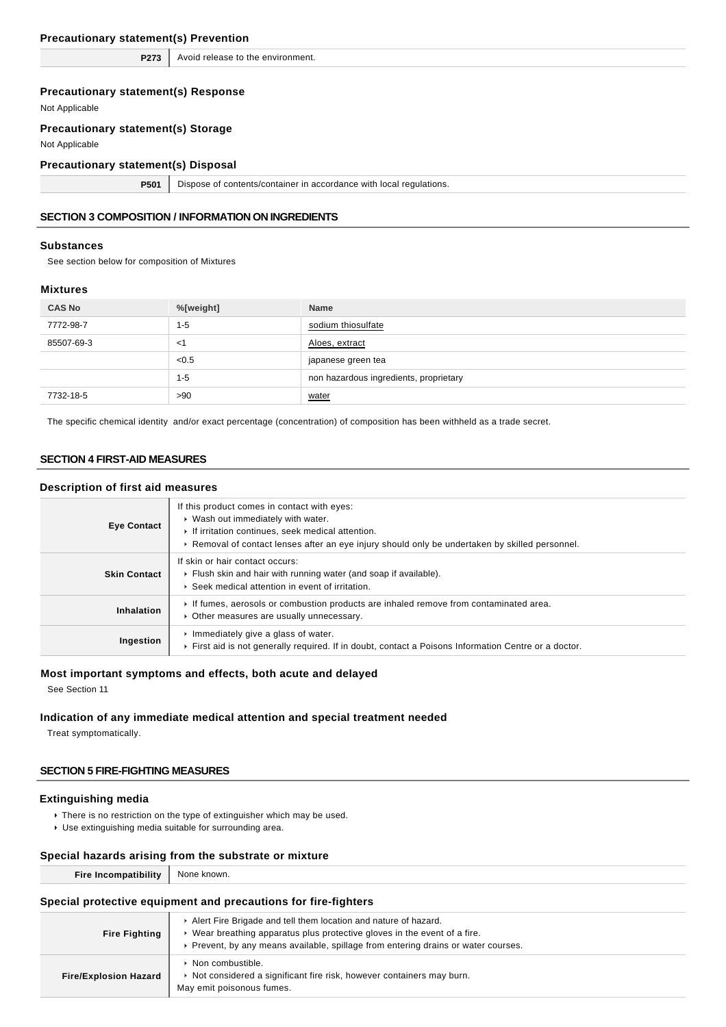## **Precautionary statement(s) Prevention**

**P273** Avoid release to the environment.

## **Precautionary statement(s) Response**

Not Applicable

## **Precautionary statement(s) Storage**

Not Applicable

### **Precautionary statement(s) Disposal**

**P501** Dispose of contents/container in accordance with local regulations.

## **SECTION 3 COMPOSITION / INFORMATION ON INGREDIENTS**

#### **Substances**

See section below for composition of Mixtures

#### **Mixtures**

| <b>CAS No</b> | %[weight] | <b>Name</b>                            |
|---------------|-----------|----------------------------------------|
| 7772-98-7     | $1 - 5$   | sodium thiosulfate                     |
| 85507-69-3    | $<$ 1     | Aloes, extract                         |
|               | < 0.5     | japanese green tea                     |
|               | $1 - 5$   | non hazardous ingredients, proprietary |
| 7732-18-5     | >90       | water                                  |

The specific chemical identity and/or exact percentage (concentration) of composition has been withheld as a trade secret.

## **SECTION 4 FIRST-AID MEASURES**

## **Description of first aid measures**

| <b>Eye Contact</b>  | If this product comes in contact with eyes:<br>▶ Wash out immediately with water.<br>If irritation continues, seek medical attention.<br>► Removal of contact lenses after an eye injury should only be undertaken by skilled personnel. |
|---------------------|------------------------------------------------------------------------------------------------------------------------------------------------------------------------------------------------------------------------------------------|
| <b>Skin Contact</b> | If skin or hair contact occurs:<br>Flush skin and hair with running water (and soap if available).<br>▶ Seek medical attention in event of irritation.                                                                                   |
| Inhalation          | If fumes, aerosols or combustion products are inhaled remove from contaminated area.<br>• Other measures are usually unnecessary.                                                                                                        |
| Ingestion           | $\cdot$ Immediately give a glass of water.<br>First aid is not generally required. If in doubt, contact a Poisons Information Centre or a doctor.                                                                                        |

### **Most important symptoms and effects, both acute and delayed**

See Section 11

## **Indication of any immediate medical attention and special treatment needed**

Treat symptomatically.

## **SECTION 5 FIRE-FIGHTING MEASURES**

#### **Extinguishing media**

- ▶ There is no restriction on the type of extinguisher which may be used.
- Use extinguishing media suitable for surrounding area.

## **Special hazards arising from the substrate or mixture**

| known<br>None. |
|----------------|
|                |
|                |

## **Special protective equipment and precautions for fire-fighters**

| <b>Fire Fighting</b>         | Alert Fire Brigade and tell them location and nature of hazard.<br>Wear breathing apparatus plus protective gloves in the event of a fire.<br>► Prevent, by any means available, spillage from entering drains or water courses. |
|------------------------------|----------------------------------------------------------------------------------------------------------------------------------------------------------------------------------------------------------------------------------|
| <b>Fire/Explosion Hazard</b> | • Non combustible.<br>▶ Not considered a significant fire risk, however containers may burn.<br>May emit poisonous fumes.                                                                                                        |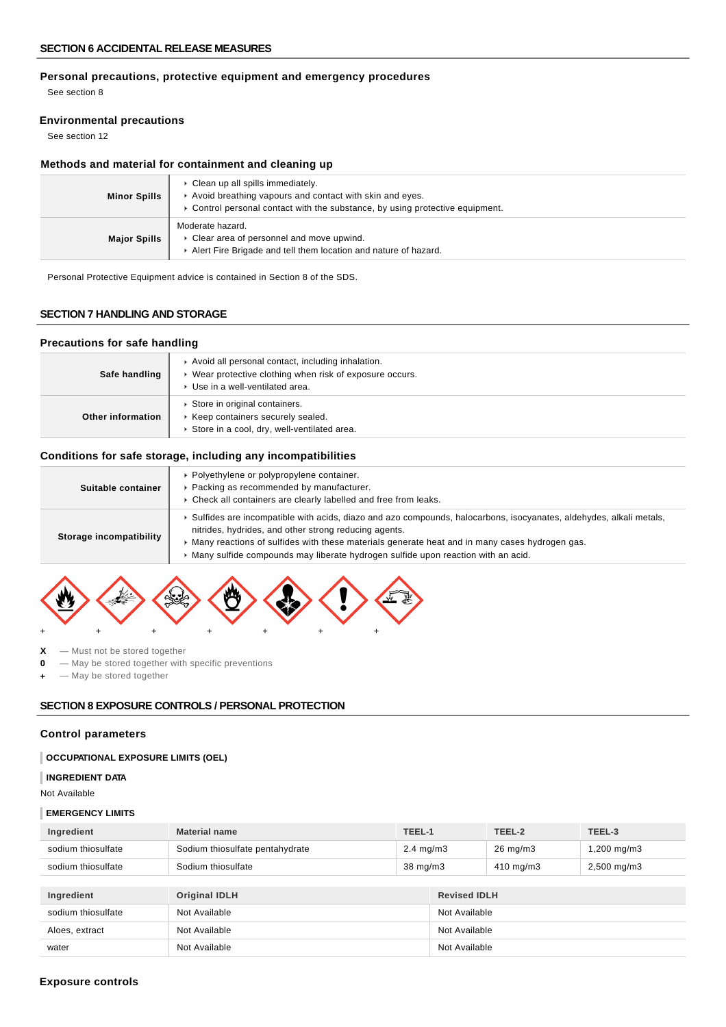## **Personal precautions, protective equipment and emergency procedures**

See section 8

## **Environmental precautions**

See section 12

## **Methods and material for containment and cleaning up**

| <b>Minor Spills</b> | • Clean up all spills immediately.<br>Avoid breathing vapours and contact with skin and eyes.<br>► Control personal contact with the substance, by using protective equipment. |
|---------------------|--------------------------------------------------------------------------------------------------------------------------------------------------------------------------------|
| <b>Major Spills</b> | Moderate hazard.<br>• Clear area of personnel and move upwind.<br>Alert Fire Brigade and tell them location and nature of hazard.                                              |

Personal Protective Equipment advice is contained in Section 8 of the SDS.

## **SECTION 7 HANDLING AND STORAGE**

### **Precautions for safe handling**

| Safe handling     | Avoid all personal contact, including inhalation.<br>▶ Wear protective clothing when risk of exposure occurs.<br>▶ Use in a well-ventilated area. |
|-------------------|---------------------------------------------------------------------------------------------------------------------------------------------------|
| Other information | Store in original containers.<br>Keep containers securely sealed.<br>Store in a cool, dry, well-ventilated area.                                  |

## **Conditions for safe storage, including any incompatibilities**

| Suitable container      | • Polyethylene or polypropylene container.<br>Packing as recommended by manufacturer.<br>• Check all containers are clearly labelled and free from leaks.                                                                                                                                                                                                          |
|-------------------------|--------------------------------------------------------------------------------------------------------------------------------------------------------------------------------------------------------------------------------------------------------------------------------------------------------------------------------------------------------------------|
| Storage incompatibility | ► Sulfides are incompatible with acids, diazo and azo compounds, halocarbons, isocyanates, aldehydes, alkali metals,<br>nitrides, hydrides, and other strong reducing agents.<br>Many reactions of sulfides with these materials generate heat and in many cases hydrogen gas.<br>Many sulfide compounds may liberate hydrogen sulfide upon reaction with an acid. |



- **X** Must not be stored together
- **0** May be stored together with specific preventions
- **+** May be stored together

## **SECTION 8 EXPOSURE CONTROLS / PERSONAL PROTECTION**

### **Control parameters**

## **OCCUPATIONAL EXPOSURE LIMITS (OEL)**

#### **INGREDIENT DATA**

Not Available

## **EMERGENCY LIMITS**

| Ingredient         | <b>Material name</b>            | TEEL-1               |                     | TEEL-2              | TEEL-3                  |
|--------------------|---------------------------------|----------------------|---------------------|---------------------|-------------------------|
| sodium thiosulfate | Sodium thiosulfate pentahydrate | $2.4 \text{ mg/m}$ 3 |                     | $26 \text{ mg/m}$ 3 | $1,200 \,\mathrm{mg/m}$ |
| sodium thiosulfate | Sodium thiosulfate              | $38 \text{ mg/m}$    |                     | $410 \text{ mg/m}$  | $2,500$ mg/m $3$        |
|                    |                                 |                      |                     |                     |                         |
| Ingredient         | <b>Original IDLH</b>            |                      | <b>Revised IDLH</b> |                     |                         |
| sodium thiosulfate | Not Available                   |                      | Not Available       |                     |                         |
| Aloes, extract     | Not Available                   |                      | Not Available       |                     |                         |
| water              | Not Available                   |                      | Not Available       |                     |                         |

#### **Exposure controls**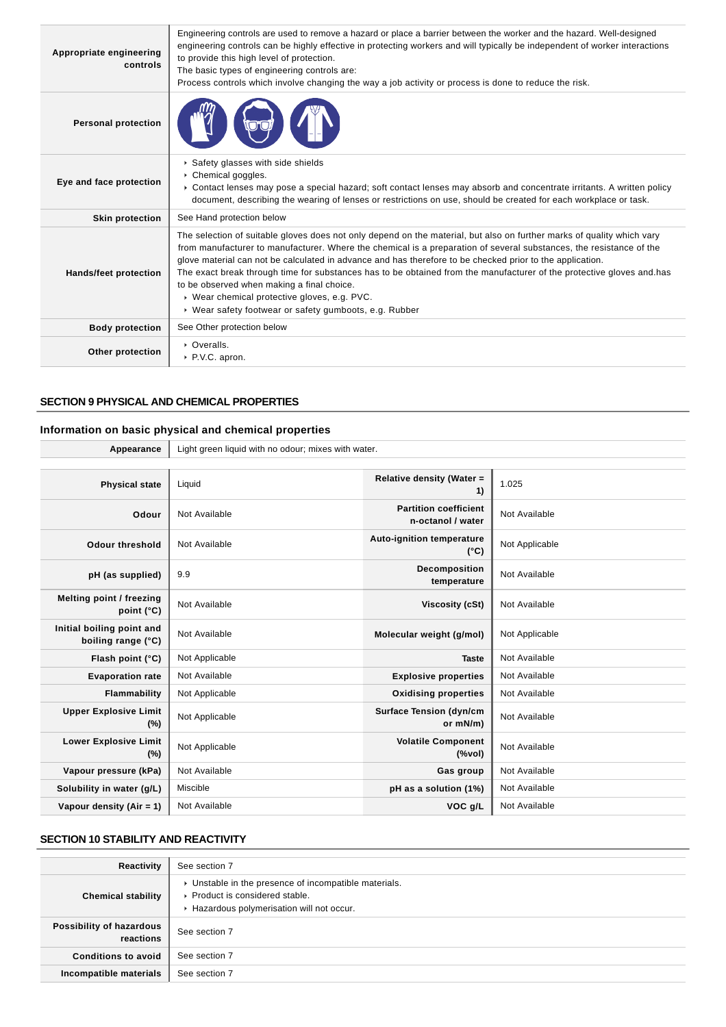| Appropriate engineering<br>controls | Engineering controls are used to remove a hazard or place a barrier between the worker and the hazard. Well-designed<br>engineering controls can be highly effective in protecting workers and will typically be independent of worker interactions<br>to provide this high level of protection.<br>The basic types of engineering controls are:<br>Process controls which involve changing the way a job activity or process is done to reduce the risk.                                                                                                                                                                                   |
|-------------------------------------|---------------------------------------------------------------------------------------------------------------------------------------------------------------------------------------------------------------------------------------------------------------------------------------------------------------------------------------------------------------------------------------------------------------------------------------------------------------------------------------------------------------------------------------------------------------------------------------------------------------------------------------------|
| <b>Personal protection</b>          |                                                                                                                                                                                                                                                                                                                                                                                                                                                                                                                                                                                                                                             |
| Eye and face protection             | Safety glasses with side shields<br>Chemical goggles.<br>► Contact lenses may pose a special hazard; soft contact lenses may absorb and concentrate irritants. A written policy<br>document, describing the wearing of lenses or restrictions on use, should be created for each workplace or task.                                                                                                                                                                                                                                                                                                                                         |
| <b>Skin protection</b>              | See Hand protection below                                                                                                                                                                                                                                                                                                                                                                                                                                                                                                                                                                                                                   |
| <b>Hands/feet protection</b>        | The selection of suitable gloves does not only depend on the material, but also on further marks of quality which vary<br>from manufacturer to manufacturer. Where the chemical is a preparation of several substances, the resistance of the<br>glove material can not be calculated in advance and has therefore to be checked prior to the application.<br>The exact break through time for substances has to be obtained from the manufacturer of the protective gloves and has<br>to be observed when making a final choice.<br>▶ Wear chemical protective gloves, e.g. PVC.<br>▶ Wear safety footwear or safety gumboots, e.g. Rubber |
| <b>Body protection</b>              | See Other protection below                                                                                                                                                                                                                                                                                                                                                                                                                                                                                                                                                                                                                  |
| Other protection                    | • Overalls.<br>P.V.C. apron.                                                                                                                                                                                                                                                                                                                                                                                                                                                                                                                                                                                                                |

## **SECTION 9 PHYSICAL AND CHEMICAL PROPERTIES**

## **Information on basic physical and chemical properties**

| Appearance                                      | Light green liquid with no odour; mixes with water. |                                                   |                |
|-------------------------------------------------|-----------------------------------------------------|---------------------------------------------------|----------------|
|                                                 |                                                     |                                                   |                |
| <b>Physical state</b>                           | Liquid                                              | Relative density (Water =<br>1)                   | 1.025          |
| Odour                                           | Not Available                                       | <b>Partition coefficient</b><br>n-octanol / water | Not Available  |
| <b>Odour threshold</b>                          | Not Available                                       | <b>Auto-ignition temperature</b><br>$(^{\circ}C)$ | Not Applicable |
| pH (as supplied)                                | 9.9                                                 | Decomposition<br>temperature                      | Not Available  |
| Melting point / freezing<br>point (°C)          | Not Available                                       | <b>Viscosity (cSt)</b>                            | Not Available  |
| Initial boiling point and<br>boiling range (°C) | Not Available                                       | Molecular weight (g/mol)                          | Not Applicable |
| Flash point (°C)                                | Not Applicable                                      | <b>Taste</b>                                      | Not Available  |
| <b>Evaporation rate</b>                         | Not Available                                       | <b>Explosive properties</b>                       | Not Available  |
| Flammability                                    | Not Applicable                                      | <b>Oxidising properties</b>                       | Not Available  |
| <b>Upper Explosive Limit</b><br>(%)             | Not Applicable                                      | <b>Surface Tension (dyn/cm</b><br>or mN/m)        | Not Available  |
| <b>Lower Explosive Limit</b><br>$(\%)$          | Not Applicable                                      | <b>Volatile Component</b><br>(%                   | Not Available  |
| Vapour pressure (kPa)                           | Not Available                                       | Gas group                                         | Not Available  |
| Solubility in water (g/L)                       | Miscible                                            | pH as a solution (1%)                             | Not Available  |
| Vapour density (Air = $1$ )                     | Not Available                                       | VOC g/L                                           | Not Available  |

## **SECTION 10 STABILITY AND REACTIVITY**

| Reactivity                            | See section 7                                                                                                                        |
|---------------------------------------|--------------------------------------------------------------------------------------------------------------------------------------|
| <b>Chemical stability</b>             | • Unstable in the presence of incompatible materials.<br>▶ Product is considered stable.<br>Hazardous polymerisation will not occur. |
| Possibility of hazardous<br>reactions | See section 7                                                                                                                        |
| <b>Conditions to avoid</b>            | See section 7                                                                                                                        |
| Incompatible materials                | See section 7                                                                                                                        |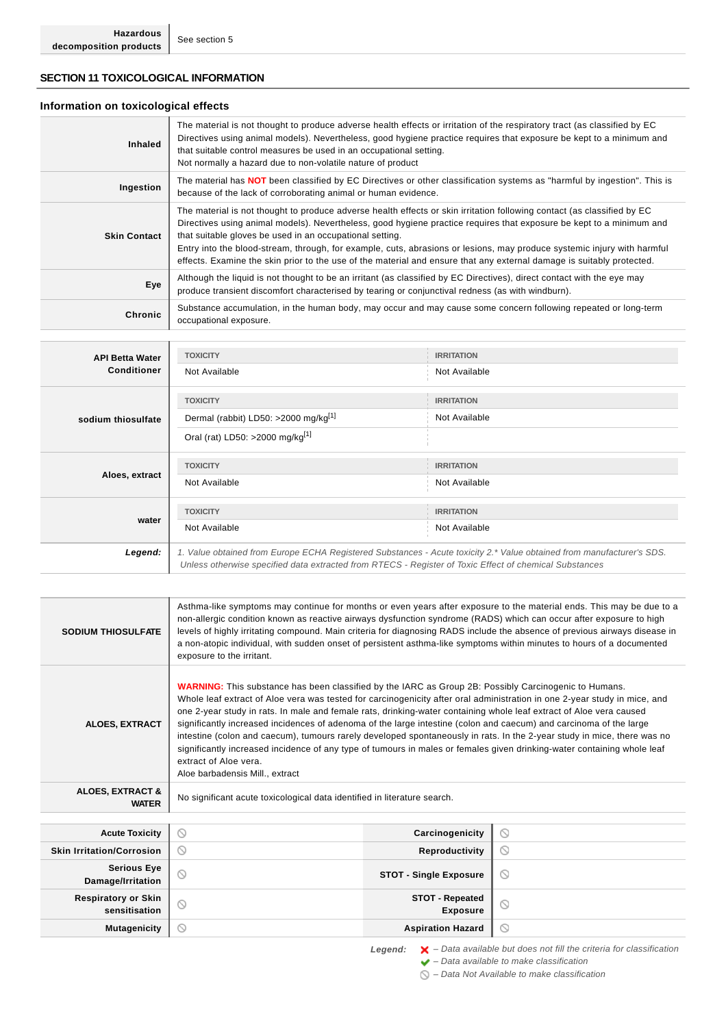## **SECTION 11 TOXICOLOGICAL INFORMATION**

## **Information on toxicological effects**

| <b>Inhaled</b>      | The material is not thought to produce adverse health effects or irritation of the respiratory tract (as classified by EC<br>Directives using animal models). Nevertheless, good hygiene practice requires that exposure be kept to a minimum and<br>that suitable control measures be used in an occupational setting.<br>Not normally a hazard due to non-volatile nature of product                                                                                                                                                                          |
|---------------------|-----------------------------------------------------------------------------------------------------------------------------------------------------------------------------------------------------------------------------------------------------------------------------------------------------------------------------------------------------------------------------------------------------------------------------------------------------------------------------------------------------------------------------------------------------------------|
| Ingestion           | The material has <b>NOT</b> been classified by EC Directives or other classification systems as "harmful by ingestion". This is<br>because of the lack of corroborating animal or human evidence.                                                                                                                                                                                                                                                                                                                                                               |
| <b>Skin Contact</b> | The material is not thought to produce adverse health effects or skin irritation following contact (as classified by EC<br>Directives using animal models). Nevertheless, good hygiene practice requires that exposure be kept to a minimum and<br>that suitable gloves be used in an occupational setting.<br>Entry into the blood-stream, through, for example, cuts, abrasions or lesions, may produce systemic injury with harmful<br>effects. Examine the skin prior to the use of the material and ensure that any external damage is suitably protected. |
| Eye                 | Although the liquid is not thought to be an irritant (as classified by EC Directives), direct contact with the eye may<br>produce transient discomfort characterised by tearing or conjunctival redness (as with windburn).                                                                                                                                                                                                                                                                                                                                     |
| Chronic             | Substance accumulation, in the human body, may occur and may cause some concern following repeated or long-term<br>occupational exposure.                                                                                                                                                                                                                                                                                                                                                                                                                       |

| <b>API Betta Water</b> | <b>TOXICITY</b>                                                                                                                                                                                                                 | <b>IRRITATION</b> |
|------------------------|---------------------------------------------------------------------------------------------------------------------------------------------------------------------------------------------------------------------------------|-------------------|
| <b>Conditioner</b>     | Not Available                                                                                                                                                                                                                   | Not Available     |
|                        | <b>TOXICITY</b>                                                                                                                                                                                                                 | <b>IRRITATION</b> |
| sodium thiosulfate     | Dermal (rabbit) LD50: >2000 mg/kg <sup>[1]</sup>                                                                                                                                                                                | Not Available     |
|                        | Oral (rat) LD50: >2000 mg/kg <sup>[1]</sup>                                                                                                                                                                                     |                   |
| Aloes, extract         | <b>TOXICITY</b>                                                                                                                                                                                                                 | <b>IRRITATION</b> |
|                        | Not Available                                                                                                                                                                                                                   | Not Available     |
|                        | <b>TOXICITY</b>                                                                                                                                                                                                                 | <b>IRRITATION</b> |
| water                  | Not Available                                                                                                                                                                                                                   | Not Available     |
| Legend:                | 1. Value obtained from Europe ECHA Registered Substances - Acute toxicity 2.* Value obtained from manufacturer's SDS.<br>Unless otherwise specified data extracted from RTECS - Register of Toxic Effect of chemical Substances |                   |

| <b>SODIUM THIOSULFATE</b>                   | Asthma-like symptoms may continue for months or even years after exposure to the material ends. This may be due to a<br>non-allergic condition known as reactive airways dysfunction syndrome (RADS) which can occur after exposure to high<br>levels of highly irritating compound. Main criteria for diagnosing RADS include the absence of previous airways disease in<br>a non-atopic individual, with sudden onset of persistent asthma-like symptoms within minutes to hours of a documented<br>exposure to the irritant.                                                                                                                                                                                                                                                                          |                                           |                                                                                          |
|---------------------------------------------|----------------------------------------------------------------------------------------------------------------------------------------------------------------------------------------------------------------------------------------------------------------------------------------------------------------------------------------------------------------------------------------------------------------------------------------------------------------------------------------------------------------------------------------------------------------------------------------------------------------------------------------------------------------------------------------------------------------------------------------------------------------------------------------------------------|-------------------------------------------|------------------------------------------------------------------------------------------|
| <b>ALOES, EXTRACT</b>                       | <b>WARNING:</b> This substance has been classified by the IARC as Group 2B: Possibly Carcinogenic to Humans.<br>Whole leaf extract of Aloe vera was tested for carcinogenicity after oral administration in one 2-year study in mice, and<br>one 2-year study in rats. In male and female rats, drinking-water containing whole leaf extract of Aloe vera caused<br>significantly increased incidences of adenoma of the large intestine (colon and caecum) and carcinoma of the large<br>intestine (colon and caecum), tumours rarely developed spontaneously in rats. In the 2-year study in mice, there was no<br>significantly increased incidence of any type of tumours in males or females given drinking-water containing whole leaf<br>extract of Aloe vera.<br>Aloe barbadensis Mill., extract |                                           |                                                                                          |
| <b>ALOES, EXTRACT &amp;</b><br><b>WATER</b> | No significant acute toxicological data identified in literature search.                                                                                                                                                                                                                                                                                                                                                                                                                                                                                                                                                                                                                                                                                                                                 |                                           |                                                                                          |
|                                             |                                                                                                                                                                                                                                                                                                                                                                                                                                                                                                                                                                                                                                                                                                                                                                                                          |                                           |                                                                                          |
| <b>Acute Toxicity</b>                       | $\circ$                                                                                                                                                                                                                                                                                                                                                                                                                                                                                                                                                                                                                                                                                                                                                                                                  | Carcinogenicity                           | $\circ$                                                                                  |
| <b>Skin Irritation/Corrosion</b>            | $\circ$                                                                                                                                                                                                                                                                                                                                                                                                                                                                                                                                                                                                                                                                                                                                                                                                  | Reproductivity                            | $\circ$                                                                                  |
| <b>Serious Eye</b><br>Damage/Irritation     | $\circledcirc$                                                                                                                                                                                                                                                                                                                                                                                                                                                                                                                                                                                                                                                                                                                                                                                           | <b>STOT - Single Exposure</b>             | $\odot$                                                                                  |
| <b>Respiratory or Skin</b><br>sensitisation | $\circ$                                                                                                                                                                                                                                                                                                                                                                                                                                                                                                                                                                                                                                                                                                                                                                                                  | <b>STOT - Repeated</b><br><b>Exposure</b> | $\odot$                                                                                  |
| <b>Mutagenicity</b>                         | $\circ$                                                                                                                                                                                                                                                                                                                                                                                                                                                                                                                                                                                                                                                                                                                                                                                                  | <b>Aspiration Hazard</b>                  | $\odot$                                                                                  |
|                                             | Legend:                                                                                                                                                                                                                                                                                                                                                                                                                                                                                                                                                                                                                                                                                                                                                                                                  |                                           | $\blacktriangleright$ - Data available but does not fill the criteria for classification |

 $\blacktriangleright$  – Data available to make classification

 $\bigcirc$  – Data Not Available to make classification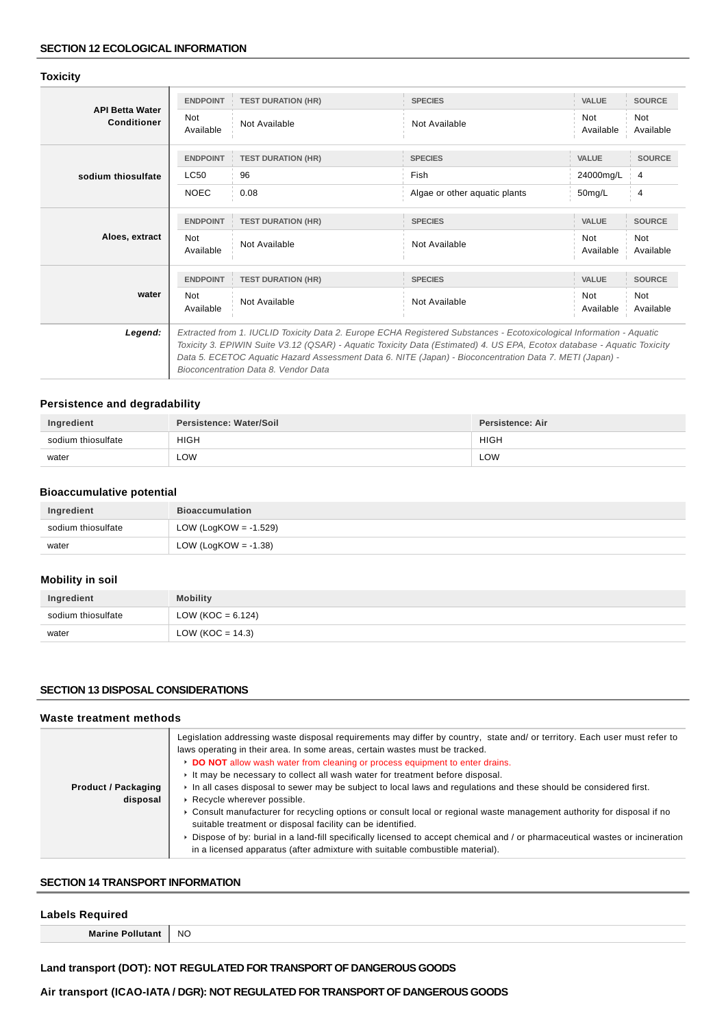## **Toxicity**

|                                       | <b>ENDPOINT</b>         | <b>TEST DURATION (HR)</b>                                                                                                                                                                                                          | <b>SPECIES</b>                | <b>VALUE</b>            | <b>SOURCE</b>           |
|---------------------------------------|-------------------------|------------------------------------------------------------------------------------------------------------------------------------------------------------------------------------------------------------------------------------|-------------------------------|-------------------------|-------------------------|
| <b>API Betta Water</b><br>Conditioner | <b>Not</b><br>Available | Not Available                                                                                                                                                                                                                      | Not Available                 | <b>Not</b><br>Available | <b>Not</b><br>Available |
|                                       | <b>ENDPOINT</b>         | <b>TEST DURATION (HR)</b>                                                                                                                                                                                                          | <b>SPECIES</b>                | <b>VALUE</b>            | <b>SOURCE</b>           |
| sodium thiosulfate                    | LC50                    | 96                                                                                                                                                                                                                                 | Fish                          | 24000mg/L               | $\overline{4}$          |
|                                       | <b>NOEC</b>             | 0.08                                                                                                                                                                                                                               | Algae or other aquatic plants | 50mg/L                  | 4                       |
|                                       | <b>ENDPOINT</b>         | <b>TEST DURATION (HR)</b>                                                                                                                                                                                                          | <b>SPECIES</b>                | <b>VALUE</b>            | <b>SOURCE</b>           |
| Aloes, extract                        | Not<br>Available        | Not Available                                                                                                                                                                                                                      | Not Available                 | Not<br>Available        | Not<br>Available        |
|                                       | <b>ENDPOINT</b>         | <b>TEST DURATION (HR)</b>                                                                                                                                                                                                          | <b>SPECIES</b>                | <b>VALUE</b>            | <b>SOURCE</b>           |
| water                                 | <b>Not</b><br>Available | Not Available                                                                                                                                                                                                                      | Not Available                 | <b>Not</b><br>Available | <b>Not</b><br>Available |
| Legend:                               |                         | Extracted from 1. IUCLID Toxicity Data 2. Europe ECHA Registered Substances - Ecotoxicological Information - Aquatic                                                                                                               |                               |                         |                         |
|                                       |                         | Toxicity 3. EPIWIN Suite V3.12 (QSAR) - Aquatic Toxicity Data (Estimated) 4. US EPA, Ecotox database - Aquatic Toxicity<br>Data 5. ECETOC Aquatic Hazard Assessment Data 6. NITE (Japan) - Bioconcentration Data 7. METI (Japan) - |                               |                         |                         |
|                                       |                         | Bioconcentration Data 8. Vendor Data                                                                                                                                                                                               |                               |                         |                         |
|                                       |                         |                                                                                                                                                                                                                                    |                               |                         |                         |

## **Persistence and degradability**

| Ingredient         | Persistence: Water/Soil | Persistence: Air |
|--------------------|-------------------------|------------------|
| sodium thiosulfate | <b>HIGH</b>             | <b>HIGH</b>      |
| water              | ∟OW                     | <b>LOW</b>       |

## **Bioaccumulative potential**

| Ingredient         | <b>Bioaccumulation</b>   |
|--------------------|--------------------------|
| sodium thiosulfate | LOW (LogKOW = $-1.529$ ) |
| water              | LOW (LogKOW = -1.38)     |

## **Mobility in soil**

| Ingredient         | <b>Mobility</b>      |
|--------------------|----------------------|
| sodium thiosulfate | LOW (KOC = $6.124$ ) |
| water              | LOW (KOC = $14.3$ )  |

## **SECTION 13 DISPOSAL CONSIDERATIONS**

#### **Waste treatment methods**

|                                        | Legislation addressing waste disposal requirements may differ by country, state and/ or territory. Each user must refer to<br>laws operating in their area. In some areas, certain wastes must be tracked.<br>DO NOT allow wash water from cleaning or process equipment to enter drains.<br>It may be necessary to collect all wash water for treatment before disposal. |
|----------------------------------------|---------------------------------------------------------------------------------------------------------------------------------------------------------------------------------------------------------------------------------------------------------------------------------------------------------------------------------------------------------------------------|
| <b>Product / Packaging</b><br>disposal | In all cases disposal to sewer may be subject to local laws and regulations and these should be considered first.<br>Recycle wherever possible.                                                                                                                                                                                                                           |
|                                        | ▶ Consult manufacturer for recycling options or consult local or regional waste management authority for disposal if no<br>suitable treatment or disposal facility can be identified.                                                                                                                                                                                     |
|                                        | ▶ Dispose of by: burial in a land-fill specifically licensed to accept chemical and / or pharmaceutical wastes or incineration<br>in a licensed apparatus (after admixture with suitable combustible material).                                                                                                                                                           |

## **SECTION 14 TRANSPORT INFORMATION**

## **Labels Required**

**Marine Pollutant** NO

## **Land transport (DOT): NOT REGULATED FOR TRANSPORT OF DANGEROUS GOODS**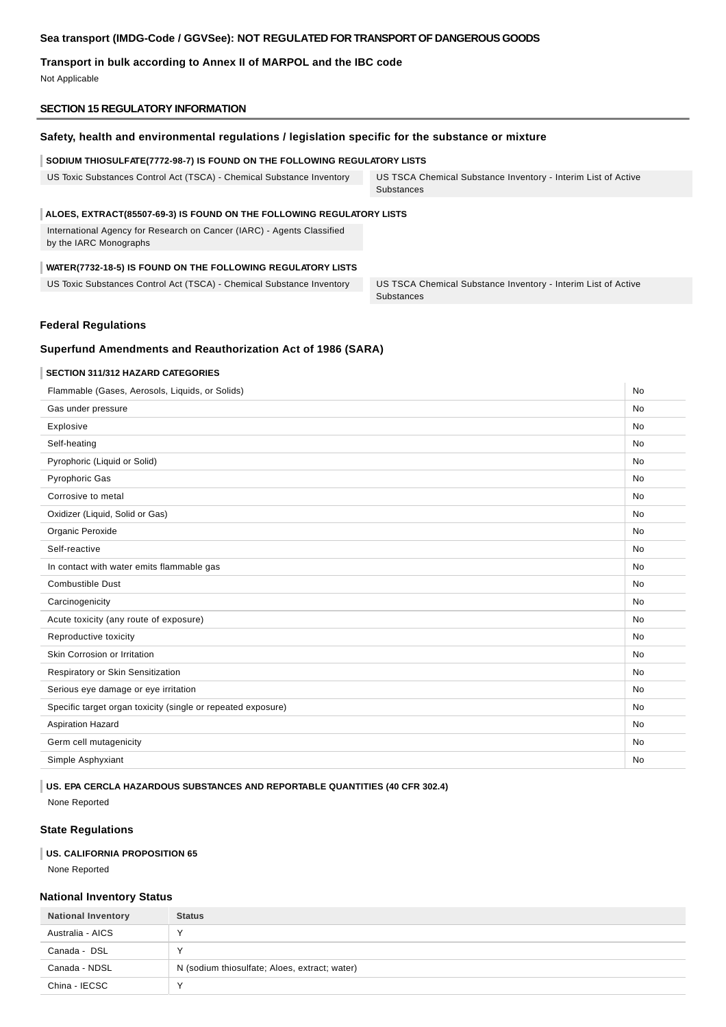### **Sea transport (IMDG-Code / GGVSee): NOT REGULATED FOR TRANSPORT OF DANGEROUS GOODS**

## **Transport in bulk according to Annex II of MARPOL and the IBC code**

Not Applicable

#### **SECTION 15 REGULATORY INFORMATION**

#### **Safety, health and environmental regulations / legislation specific for the substance or mixture**

#### **SODIUM THIOSULFATE(7772-98-7) IS FOUND ON THE FOLLOWING REGULATORY LISTS**

US Toxic Substances Control Act (TSCA) - Chemical Substance Inventory US TSCA Chemical Substance Inventory - Interim List of Active Substances

#### **ALOES, EXTRACT(85507-69-3) IS FOUND ON THE FOLLOWING REGULATORY LISTS**

International Agency for Research on Cancer (IARC) - Agents Classified by the IARC Monographs

## **WATER(7732-18-5) IS FOUND ON THE FOLLOWING REGULATORY LISTS**

US Toxic Substances Control Act (TSCA) - Chemical Substance Inventory US TSCA Chemical Substance Inventory - Interim List of Active

Substances

#### **Federal Regulations**

#### **Superfund Amendments and Reauthorization Act of 1986 (SARA)**

#### **SECTION 311/312 HAZARD CATEGORIES**

| Flammable (Gases, Aerosols, Liquids, or Solids)              |           |
|--------------------------------------------------------------|-----------|
| Gas under pressure                                           | <b>No</b> |
| Explosive                                                    | <b>No</b> |
| Self-heating                                                 | <b>No</b> |
| Pyrophoric (Liquid or Solid)                                 | <b>No</b> |
| <b>Pyrophoric Gas</b>                                        | <b>No</b> |
| Corrosive to metal                                           | <b>No</b> |
| Oxidizer (Liquid, Solid or Gas)                              | <b>No</b> |
| Organic Peroxide                                             | <b>No</b> |
| Self-reactive                                                | <b>No</b> |
| In contact with water emits flammable gas                    | <b>No</b> |
| <b>Combustible Dust</b>                                      | No        |
| Carcinogenicity                                              | <b>No</b> |
| Acute toxicity (any route of exposure)                       | <b>No</b> |
| Reproductive toxicity                                        | <b>No</b> |
| Skin Corrosion or Irritation                                 | <b>No</b> |
| Respiratory or Skin Sensitization                            | <b>No</b> |
| Serious eye damage or eye irritation                         | No        |
| Specific target organ toxicity (single or repeated exposure) | <b>No</b> |
| <b>Aspiration Hazard</b>                                     | <b>No</b> |
| Germ cell mutagenicity                                       | <b>No</b> |
| Simple Asphyxiant                                            | <b>No</b> |
|                                                              |           |

**US. EPA CERCLA HAZARDOUS SUBSTANCES AND REPORTABLE QUANTITIES (40 CFR 302.4)**

None Reported

#### **State Regulations**

#### **US. CALIFORNIA PROPOSITION 65**

None Reported

#### **National Inventory Status**

| <b>National Inventory</b> | <b>Status</b>                                 |
|---------------------------|-----------------------------------------------|
| Australia - AICS          |                                               |
| Canada - DSL              |                                               |
| Canada - NDSL             | N (sodium thiosulfate; Aloes, extract; water) |
| China - IECSC             |                                               |